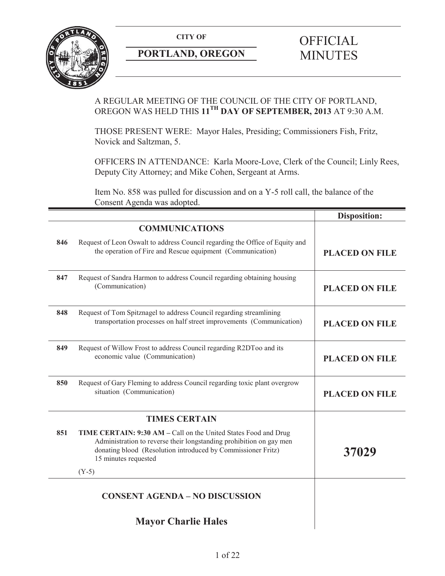

# **PORTLAND, OREGON MINUTES**

# **CITY OF** OFFICIAL

# A REGULAR MEETING OF THE COUNCIL OF THE CITY OF PORTLAND, OREGON WAS HELD THIS **11TH DAY OF SEPTEMBER, 2013** AT 9:30 A.M.

THOSE PRESENT WERE: Mayor Hales, Presiding; Commissioners Fish, Fritz, Novick and Saltzman, 5.

OFFICERS IN ATTENDANCE: Karla Moore-Love, Clerk of the Council; Linly Rees, Deputy City Attorney; and Mike Cohen, Sergeant at Arms.

Item No. 858 was pulled for discussion and on a Y-5 roll call, the balance of the Consent Agenda was adopted.

|     |                                                                                                                                                                                                                                | <b>Disposition:</b>   |
|-----|--------------------------------------------------------------------------------------------------------------------------------------------------------------------------------------------------------------------------------|-----------------------|
|     | <b>COMMUNICATIONS</b>                                                                                                                                                                                                          |                       |
| 846 | Request of Leon Oswalt to address Council regarding the Office of Equity and<br>the operation of Fire and Rescue equipment (Communication)                                                                                     | <b>PLACED ON FILE</b> |
| 847 | Request of Sandra Harmon to address Council regarding obtaining housing<br>(Communication)                                                                                                                                     | <b>PLACED ON FILE</b> |
| 848 | Request of Tom Spitznagel to address Council regarding streamlining<br>transportation processes on half street improvements (Communication)                                                                                    | <b>PLACED ON FILE</b> |
| 849 | Request of Willow Frost to address Council regarding R2DToo and its<br>economic value (Communication)                                                                                                                          | <b>PLACED ON FILE</b> |
| 850 | Request of Gary Fleming to address Council regarding toxic plant overgrow<br>situation (Communication)                                                                                                                         | <b>PLACED ON FILE</b> |
|     | <b>TIMES CERTAIN</b>                                                                                                                                                                                                           |                       |
| 851 | TIME CERTAIN: 9:30 AM - Call on the United States Food and Drug<br>Administration to reverse their longstanding prohibition on gay men<br>donating blood (Resolution introduced by Commissioner Fritz)<br>15 minutes requested | 37029                 |
|     | $(Y-5)$                                                                                                                                                                                                                        |                       |
|     | <b>CONSENT AGENDA - NO DISCUSSION</b>                                                                                                                                                                                          |                       |
|     | <b>Mayor Charlie Hales</b>                                                                                                                                                                                                     |                       |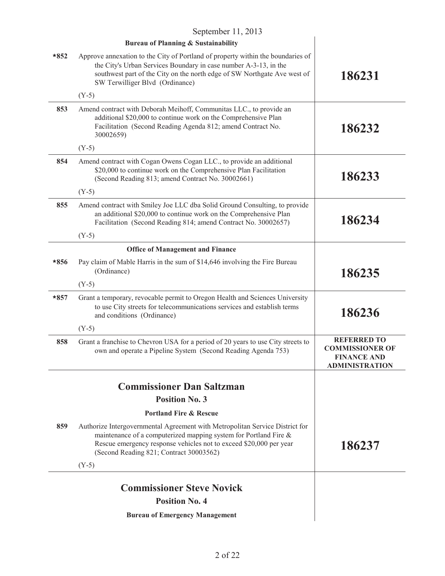| September 11, 2013 |                                                                                                                                                                                                                                                                    |                                                                                             |  |  |
|--------------------|--------------------------------------------------------------------------------------------------------------------------------------------------------------------------------------------------------------------------------------------------------------------|---------------------------------------------------------------------------------------------|--|--|
|                    | <b>Bureau of Planning &amp; Sustainability</b>                                                                                                                                                                                                                     |                                                                                             |  |  |
| $*852$             | Approve annexation to the City of Portland of property within the boundaries of<br>the City's Urban Services Boundary in case number A-3-13, in the<br>southwest part of the City on the north edge of SW Northgate Ave west of<br>SW Terwilliger Blvd (Ordinance) | 186231                                                                                      |  |  |
|                    | $(Y-5)$                                                                                                                                                                                                                                                            |                                                                                             |  |  |
| 853                | Amend contract with Deborah Meihoff, Communitas LLC., to provide an<br>additional \$20,000 to continue work on the Comprehensive Plan<br>Facilitation (Second Reading Agenda 812; amend Contract No.<br>30002659)                                                  | 186232                                                                                      |  |  |
|                    | $(Y-5)$                                                                                                                                                                                                                                                            |                                                                                             |  |  |
| 854                | Amend contract with Cogan Owens Cogan LLC., to provide an additional<br>\$20,000 to continue work on the Comprehensive Plan Facilitation<br>(Second Reading 813; amend Contract No. 30002661)                                                                      | 186233                                                                                      |  |  |
|                    | $(Y-5)$                                                                                                                                                                                                                                                            |                                                                                             |  |  |
| 855                | Amend contract with Smiley Joe LLC dba Solid Ground Consulting, to provide<br>an additional \$20,000 to continue work on the Comprehensive Plan<br>Facilitation (Second Reading 814; amend Contract No. 30002657)                                                  | 186234                                                                                      |  |  |
|                    | $(Y-5)$                                                                                                                                                                                                                                                            |                                                                                             |  |  |
|                    | <b>Office of Management and Finance</b>                                                                                                                                                                                                                            |                                                                                             |  |  |
| $*856$             | Pay claim of Mable Harris in the sum of \$14,646 involving the Fire Bureau<br>(Ordinance)                                                                                                                                                                          | 186235                                                                                      |  |  |
|                    | $(Y-5)$                                                                                                                                                                                                                                                            |                                                                                             |  |  |
| $*857$             | Grant a temporary, revocable permit to Oregon Health and Sciences University<br>to use City streets for telecommunications services and establish terms<br>and conditions (Ordinance)                                                                              | 186236                                                                                      |  |  |
|                    | $(Y-5)$                                                                                                                                                                                                                                                            |                                                                                             |  |  |
| 858                | Grant a franchise to Chevron USA for a period of 20 years to use City streets to<br>own and operate a Pipeline System (Second Reading Agenda 753)                                                                                                                  | <b>REFERRED TO</b><br><b>COMMISSIONER OF</b><br><b>FINANCE AND</b><br><b>ADMINISTRATION</b> |  |  |
|                    |                                                                                                                                                                                                                                                                    |                                                                                             |  |  |
|                    | <b>Commissioner Dan Saltzman</b>                                                                                                                                                                                                                                   |                                                                                             |  |  |
|                    | <b>Position No. 3</b>                                                                                                                                                                                                                                              |                                                                                             |  |  |
|                    | <b>Portland Fire &amp; Rescue</b>                                                                                                                                                                                                                                  |                                                                                             |  |  |
| 859                | Authorize Intergovernmental Agreement with Metropolitan Service District for<br>maintenance of a computerized mapping system for Portland Fire &<br>Rescue emergency response vehicles not to exceed \$20,000 per year<br>(Second Reading 821; Contract 30003562)  | 186237                                                                                      |  |  |
|                    | $(Y-5)$                                                                                                                                                                                                                                                            |                                                                                             |  |  |
|                    | <b>Commissioner Steve Novick</b>                                                                                                                                                                                                                                   |                                                                                             |  |  |
|                    | <b>Position No. 4</b>                                                                                                                                                                                                                                              |                                                                                             |  |  |
|                    |                                                                                                                                                                                                                                                                    |                                                                                             |  |  |
|                    | <b>Bureau of Emergency Management</b>                                                                                                                                                                                                                              |                                                                                             |  |  |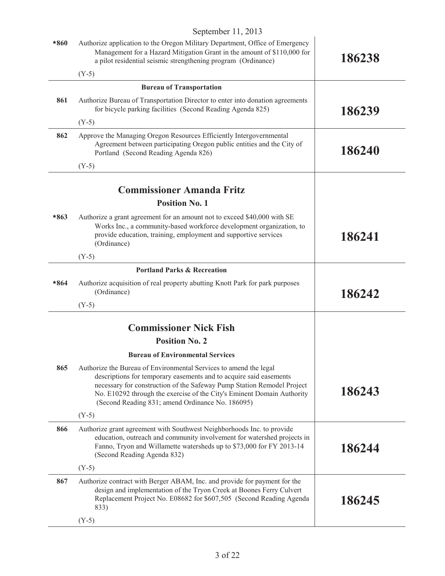| *860   | Authorize application to the Oregon Military Department, Office of Emergency<br>Management for a Hazard Mitigation Grant in the amount of \$110,000 for<br>a pilot residential seismic strengthening program (Ordinance)                                                                                                                        | 186238 |
|--------|-------------------------------------------------------------------------------------------------------------------------------------------------------------------------------------------------------------------------------------------------------------------------------------------------------------------------------------------------|--------|
|        | $(Y-5)$                                                                                                                                                                                                                                                                                                                                         |        |
|        | <b>Bureau of Transportation</b>                                                                                                                                                                                                                                                                                                                 |        |
| 861    | Authorize Bureau of Transportation Director to enter into donation agreements<br>for bicycle parking facilities (Second Reading Agenda 825)                                                                                                                                                                                                     | 186239 |
|        | $(Y-5)$                                                                                                                                                                                                                                                                                                                                         |        |
| 862    | Approve the Managing Oregon Resources Efficiently Intergovernmental<br>Agreement between participating Oregon public entities and the City of<br>Portland (Second Reading Agenda 826)                                                                                                                                                           | 186240 |
|        | $(Y-5)$                                                                                                                                                                                                                                                                                                                                         |        |
|        | <b>Commissioner Amanda Fritz</b>                                                                                                                                                                                                                                                                                                                |        |
|        | <b>Position No. 1</b>                                                                                                                                                                                                                                                                                                                           |        |
| $*863$ | Authorize a grant agreement for an amount not to exceed \$40,000 with SE<br>Works Inc., a community-based workforce development organization, to<br>provide education, training, employment and supportive services<br>(Ordinance)                                                                                                              | 186241 |
|        | $(Y-5)$                                                                                                                                                                                                                                                                                                                                         |        |
|        | <b>Portland Parks &amp; Recreation</b>                                                                                                                                                                                                                                                                                                          |        |
| $*864$ | Authorize acquisition of real property abutting Knott Park for park purposes<br>(Ordinance)                                                                                                                                                                                                                                                     | 186242 |
|        | $(Y-5)$                                                                                                                                                                                                                                                                                                                                         |        |
|        | <b>Commissioner Nick Fish</b>                                                                                                                                                                                                                                                                                                                   |        |
|        | <b>Position No. 2</b>                                                                                                                                                                                                                                                                                                                           |        |
|        | <b>Bureau of Environmental Services</b>                                                                                                                                                                                                                                                                                                         |        |
| 865    | Authorize the Bureau of Environmental Services to amend the legal<br>descriptions for temporary easements and to acquire said easements<br>necessary for construction of the Safeway Pump Station Remodel Project<br>No. E10292 through the exercise of the City's Eminent Domain Authority<br>(Second Reading 831; amend Ordinance No. 186095) | 186243 |
|        | $(Y-5)$                                                                                                                                                                                                                                                                                                                                         |        |
| 866    | Authorize grant agreement with Southwest Neighborhoods Inc. to provide<br>education, outreach and community involvement for watershed projects in<br>Fanno, Tryon and Willamette watersheds up to \$73,000 for FY 2013-14<br>(Second Reading Agenda 832)                                                                                        | 186244 |
|        | $(Y-5)$                                                                                                                                                                                                                                                                                                                                         |        |
| 867    | Authorize contract with Berger ABAM, Inc. and provide for payment for the<br>design and implementation of the Tryon Creek at Boones Ferry Culvert<br>Replacement Project No. E08682 for \$607,505 (Second Reading Agenda<br>833)                                                                                                                | 186245 |
|        | $(Y-5)$                                                                                                                                                                                                                                                                                                                                         |        |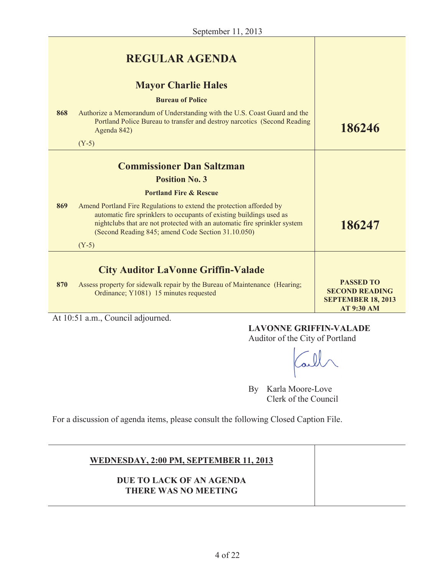|     | <b>REGULAR AGENDA</b>                                                                                                                                                                                                                                                           |                                                                                             |
|-----|---------------------------------------------------------------------------------------------------------------------------------------------------------------------------------------------------------------------------------------------------------------------------------|---------------------------------------------------------------------------------------------|
|     | <b>Mayor Charlie Hales</b>                                                                                                                                                                                                                                                      |                                                                                             |
|     | <b>Bureau of Police</b>                                                                                                                                                                                                                                                         |                                                                                             |
| 868 | Authorize a Memorandum of Understanding with the U.S. Coast Guard and the<br>Portland Police Bureau to transfer and destroy narcotics (Second Reading<br>Agenda 842)                                                                                                            | 186246                                                                                      |
|     | $(Y-5)$                                                                                                                                                                                                                                                                         |                                                                                             |
|     | <b>Commissioner Dan Saltzman</b>                                                                                                                                                                                                                                                |                                                                                             |
|     | <b>Position No. 3</b>                                                                                                                                                                                                                                                           |                                                                                             |
|     | <b>Portland Fire &amp; Rescue</b>                                                                                                                                                                                                                                               |                                                                                             |
| 869 | Amend Portland Fire Regulations to extend the protection afforded by<br>automatic fire sprinklers to occupants of existing buildings used as<br>nightclubs that are not protected with an automatic fire sprinkler system<br>(Second Reading 845; amend Code Section 31.10.050) | 186247                                                                                      |
|     | $(Y-5)$                                                                                                                                                                                                                                                                         |                                                                                             |
|     | <b>City Auditor LaVonne Griffin-Valade</b>                                                                                                                                                                                                                                      |                                                                                             |
| 870 | Assess property for sidewalk repair by the Bureau of Maintenance (Hearing;<br>Ordinance; Y1081) 15 minutes requested                                                                                                                                                            | <b>PASSED TO</b><br><b>SECOND READING</b><br><b>SEPTEMBER 18, 2013</b><br><b>AT 9:30 AM</b> |

At 10:51 a.m., Council adjourned.

# **LAVONNE GRIFFIN-VALADE**

Auditor of the City of Portland

By Karla Moore-Love Clerk of the Council

For a discussion of agenda items, please consult the following Closed Caption File.

# **WEDNESDAY, 2:00 PM, SEPTEMBER 11, 2013**

# **DUE TO LACK OF AN AGENDA THERE WAS NO MEETING**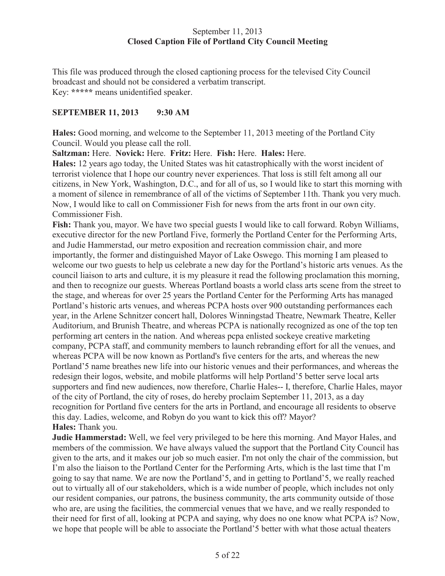# September 11, 2013 **Closed Caption File of Portland City Council Meeting**

This file was produced through the closed captioning process for the televised City Council broadcast and should not be considered a verbatim transcript. Key: **\*\*\*\*\*** means unidentified speaker.

# **SEPTEMBER 11, 2013 9:30 AM**

**Hales:** Good morning, and welcome to the September 11, 2013 meeting of the Portland City Council. Would you please call the roll.

**Saltzman:** Here. **Novick:** Here. **Fritz:** Here. **Fish:** Here. **Hales:** Here.

**Hales:** 12 years ago today, the United States was hit catastrophically with the worst incident of terrorist violence that I hope our country never experiences. That loss is still felt among all our citizens, in New York, Washington, D.C., and for all of us, so I would like to start this morning with a moment of silence in remembrance of all of the victims of September 11th. Thank you very much. Now, I would like to call on Commissioner Fish for news from the arts front in our own city. Commissioner Fish.

**Fish:** Thank you, mayor. We have two special guests I would like to call forward. Robyn Williams, executive director for the new Portland Five, formerly the Portland Center for the Performing Arts, and Judie Hammerstad, our metro exposition and recreation commission chair, and more importantly, the former and distinguished Mayor of Lake Oswego. This morning I am pleased to welcome our two guests to help us celebrate a new day for the Portland's historic arts venues. As the council liaison to arts and culture, it is my pleasure it read the following proclamation this morning, and then to recognize our guests. Whereas Portland boasts a world class arts scene from the street to the stage, and whereas for over 25 years the Portland Center for the Performing Arts has managed Portland's historic arts venues, and whereas PCPA hosts over 900 outstanding performances each year, in the Arlene Schnitzer concert hall, Dolores Winningstad Theatre, Newmark Theatre, Keller Auditorium, and Brunish Theatre, and whereas PCPA is nationally recognized as one of the top ten performing art centers in the nation. And whereas pcpa enlisted sockeye creative marketing company, PCPA staff, and community members to launch rebranding effort for all the venues, and whereas PCPA will be now known as Portland's five centers for the arts, and whereas the new Portland'5 name breathes new life into our historic venues and their performances, and whereas the redesign their logos, website, and mobile platforms will help Portland'5 better serve local arts supporters and find new audiences, now therefore, Charlie Hales-- I, therefore, Charlie Hales, mayor of the city of Portland, the city of roses, do hereby proclaim September 11, 2013, as a day recognition for Portland five centers for the arts in Portland, and encourage all residents to observe this day. Ladies, welcome, and Robyn do you want to kick this off? Mayor? **Hales:** Thank you.

**Judie Hammerstad:** Well, we feel very privileged to be here this morning. And Mayor Hales, and members of the commission. We have always valued the support that the Portland City Council has given to the arts, and it makes our job so much easier. I'm not only the chair of the commission, but I'm also the liaison to the Portland Center for the Performing Arts, which is the last time that I'm going to say that name. We are now the Portland'5, and in getting to Portland'5, we really reached out to virtually all of our stakeholders, which is a wide number of people, which includes not only our resident companies, our patrons, the business community, the arts community outside of those who are, are using the facilities, the commercial venues that we have, and we really responded to their need for first of all, looking at PCPA and saying, why does no one know what PCPA is? Now, we hope that people will be able to associate the Portland'5 better with what those actual theaters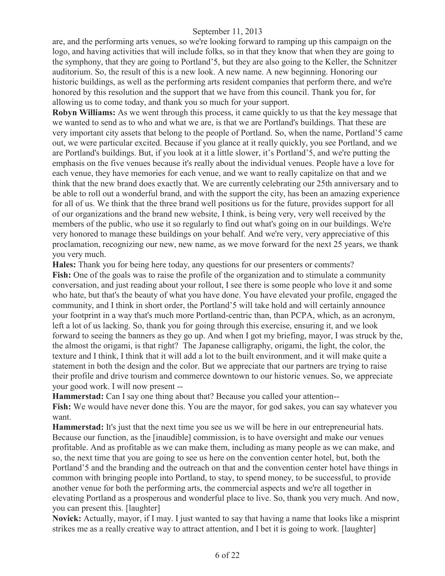are, and the performing arts venues, so we're looking forward to ramping up this campaign on the logo, and having activities that will include folks, so in that they know that when they are going to the symphony, that they are going to Portland'5, but they are also going to the Keller, the Schnitzer auditorium. So, the result of this is a new look. A new name. A new beginning. Honoring our historic buildings, as well as the performing arts resident companies that perform there, and we're honored by this resolution and the support that we have from this council. Thank you for, for allowing us to come today, and thank you so much for your support.

**Robyn Williams:** As we went through this process, it came quickly to us that the key message that we wanted to send as to who and what we are, is that we are Portland's buildings. That these are very important city assets that belong to the people of Portland. So, when the name, Portland'5 came out, we were particular excited. Because if you glance at it really quickly, you see Portland, and we are Portland's buildings. But, if you look at it a little slower, it's Portland'5, and we're putting the emphasis on the five venues because it's really about the individual venues. People have a love for each venue, they have memories for each venue, and we want to really capitalize on that and we think that the new brand does exactly that. We are currently celebrating our 25th anniversary and to be able to roll out a wonderful brand, and with the support the city, has been an amazing experience for all of us. We think that the three brand well positions us for the future, provides support for all of our organizations and the brand new website, I think, is being very, very well received by the members of the public, who use it so regularly to find out what's going on in our buildings. We're very honored to manage these buildings on your behalf. And we're very, very appreciative of this proclamation, recognizing our new, new name, as we move forward for the next 25 years, we thank you very much.

**Hales:** Thank you for being here today, any questions for our presenters or comments? **Fish:** One of the goals was to raise the profile of the organization and to stimulate a community conversation, and just reading about your rollout, I see there is some people who love it and some who hate, but that's the beauty of what you have done. You have elevated your profile, engaged the community, and I think in short order, the Portland'5 will take hold and will certainly announce your footprint in a way that's much more Portland-centric than, than PCPA, which, as an acronym, left a lot of us lacking. So, thank you for going through this exercise, ensuring it, and we look forward to seeing the banners as they go up. And when I got my briefing, mayor, I was struck by the, the almost the origami, is that right? The Japanese calligraphy, origami, the light, the color, the texture and I think, I think that it will add a lot to the built environment, and it will make quite a statement in both the design and the color. But we appreciate that our partners are trying to raise their profile and drive tourism and commerce downtown to our historic venues. So, we appreciate your good work. I will now present --

**Hammerstad:** Can I say one thing about that? Because you called your attention--

**Fish:** We would have never done this. You are the mayor, for god sakes, you can say whatever you want.

**Hammerstad:** It's just that the next time you see us we will be here in our entrepreneurial hats. Because our function, as the [inaudible] commission, is to have oversight and make our venues profitable. And as profitable as we can make them, including as many people as we can make, and so, the next time that you are going to see us here on the convention center hotel, but, both the Portland'5 and the branding and the outreach on that and the convention center hotel have things in common with bringing people into Portland, to stay, to spend money, to be successful, to provide another venue for both the performing arts, the commercial aspects and we're all together in elevating Portland as a prosperous and wonderful place to live. So, thank you very much. And now, you can present this. [laughter]

**Novick:** Actually, mayor, if I may. I just wanted to say that having a name that looks like a misprint strikes me as a really creative way to attract attention, and I bet it is going to work. [laughter]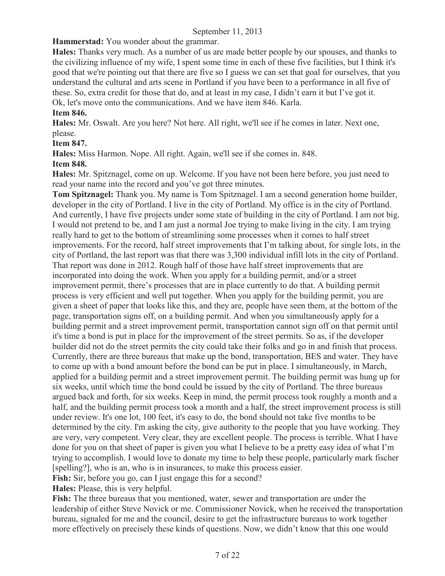**Hammerstad:** You wonder about the grammar.

**Hales:** Thanks very much. As a number of us are made better people by our spouses, and thanks to the civilizing influence of my wife, I spent some time in each of these five facilities, but I think it's good that we're pointing out that there are five so I guess we can set that goal for ourselves, that you understand the cultural and arts scene in Portland if you have been to a performance in all five of these. So, extra credit for those that do, and at least in my case, I didn't earn it but I've got it. Ok, let's move onto the communications. And we have item 846. Karla.

# **Item 846.**

**Hales:** Mr. Oswalt. Are you here? Not here. All right, we'll see if he comes in later. Next one, please.

# **Item 847.**

**Hales:** Miss Harmon. Nope. All right. Again, we'll see if she comes in. 848.

# **Item 848.**

**Hales:** Mr. Spitznagel, come on up. Welcome. If you have not been here before, you just need to read your name into the record and you've got three minutes.

**Tom Spitznagel:** Thank you. My name is Tom Spitznagel. I am a second generation home builder, developer in the city of Portland. I live in the city of Portland. My office is in the city of Portland. And currently, I have five projects under some state of building in the city of Portland. I am not big. I would not pretend to be, and I am just a normal Joe trying to make living in the city. I am trying really hard to get to the bottom of streamlining some processes when it comes to half street improvements. For the record, half street improvements that I'm talking about, for single lots, in the city of Portland, the last report was that there was 3,300 individual infill lots in the city of Portland. That report was done in 2012. Rough half of those have half street improvements that are incorporated into doing the work. When you apply for a building permit, and/or a street improvement permit, there's processes that are in place currently to do that. A building permit process is very efficient and well put together. When you apply for the building permit, you are given a sheet of paper that looks like this, and they are, people have seen them, at the bottom of the page, transportation signs off, on a building permit. And when you simultaneously apply for a building permit and a street improvement permit, transportation cannot sign off on that permit until it's time a bond is put in place for the improvement of the street permits. So as, if the developer builder did not do the street permits the city could take their folks and go in and finish that process. Currently, there are three bureaus that make up the bond, transportation, BES and water. They have to come up with a bond amount before the bond can be put in place. I simultaneously, in March, applied for a building permit and a street improvement permit. The building permit was hung up for six weeks, until which time the bond could be issued by the city of Portland. The three bureaus argued back and forth, for six weeks. Keep in mind, the permit process took roughly a month and a half, and the building permit process took a month and a half, the street improvement process is still under review. It's one lot, 100 feet, it's easy to do, the bond should not take five months to be determined by the city. I'm asking the city, give authority to the people that you have working. They are very, very competent. Very clear, they are excellent people. The process is terrible. What I have done for you on that sheet of paper is given you what I believe to be a pretty easy idea of what I'm trying to accomplish. I would love to donate my time to help these people, particularly mark fischer [spelling?], who is an, who is in insurances, to make this process easier.

**Fish:** Sir, before you go, can I just engage this for a second?

**Hales:** Please, this is very helpful.

**Fish:** The three bureaus that you mentioned, water, sewer and transportation are under the leadership of either Steve Novick or me. Commissioner Novick, when he received the transportation bureau, signaled for me and the council, desire to get the infrastructure bureaus to work together more effectively on precisely these kinds of questions. Now, we didn't know that this one would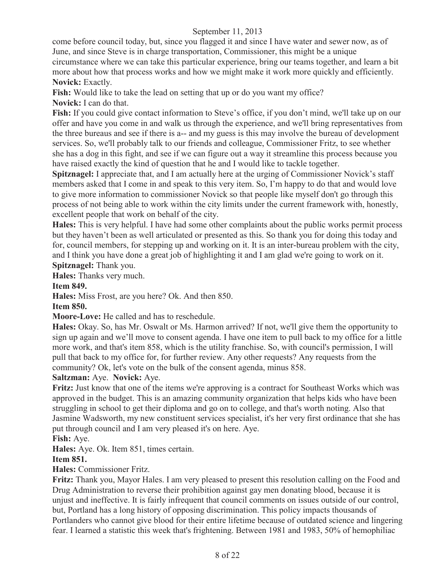come before council today, but, since you flagged it and since I have water and sewer now, as of June, and since Steve is in charge transportation, Commissioner, this might be a unique circumstance where we can take this particular experience, bring our teams together, and learn a bit more about how that process works and how we might make it work more quickly and efficiently. **Novick:** Exactly.

**Fish:** Would like to take the lead on setting that up or do you want my office? **Novick:** I can do that.

**Fish:** If you could give contact information to Steve's office, if you don't mind, we'll take up on our offer and have you come in and walk us through the experience, and we'll bring representatives from the three bureaus and see if there is a-- and my guess is this may involve the bureau of development services. So, we'll probably talk to our friends and colleague, Commissioner Fritz, to see whether she has a dog in this fight, and see if we can figure out a way it streamline this process because you have raised exactly the kind of question that he and I would like to tackle together.

**Spitznagel:** I appreciate that, and I am actually here at the urging of Commissioner Novick's staff members asked that I come in and speak to this very item. So, I'm happy to do that and would love to give more information to commissioner Novick so that people like myself don't go through this process of not being able to work within the city limits under the current framework with, honestly, excellent people that work on behalf of the city.

**Hales:** This is very helpful. I have had some other complaints about the public works permit process but they haven't been as well articulated or presented as this. So thank you for doing this today and for, council members, for stepping up and working on it. It is an inter-bureau problem with the city, and I think you have done a great job of highlighting it and I am glad we're going to work on it. **Spitznagel:** Thank you.

**Hales:** Thanks very much.

**Item 849.** 

**Hales:** Miss Frost, are you here? Ok. And then 850.

**Item 850.**

**Moore-Love:** He called and has to reschedule.

**Hales:** Okay. So, has Mr. Oswalt or Ms. Harmon arrived? If not, we'll give them the opportunity to sign up again and we'll move to consent agenda. I have one item to pull back to my office for a little more work, and that's item 858, which is the utility franchise. So, with council's permission, I will pull that back to my office for, for further review. Any other requests? Any requests from the community? Ok, let's vote on the bulk of the consent agenda, minus 858.

# **Saltzman:** Aye. **Novick:** Aye.

**Fritz:** Just know that one of the items we're approving is a contract for Southeast Works which was approved in the budget. This is an amazing community organization that helps kids who have been struggling in school to get their diploma and go on to college, and that's worth noting. Also that Jasmine Wadsworth, my new constituent services specialist, it's her very first ordinance that she has put through council and I am very pleased it's on here. Aye.

**Fish:** Aye.

**Hales:** Aye. Ok. Item 851, times certain.

# **Item 851.**

**Hales:** Commissioner Fritz.

**Fritz:** Thank you, Mayor Hales. I am very pleased to present this resolution calling on the Food and Drug Administration to reverse their prohibition against gay men donating blood, because it is unjust and ineffective. It is fairly infrequent that council comments on issues outside of our control, but, Portland has a long history of opposing discrimination. This policy impacts thousands of Portlanders who cannot give blood for their entire lifetime because of outdated science and lingering fear. I learned a statistic this week that's frightening. Between 1981 and 1983, 50% of hemophiliac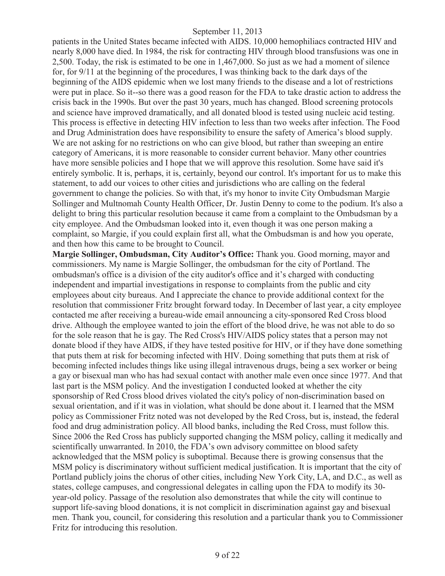patients in the United States became infected with AIDS. 10,000 hemophiliacs contracted HIV and nearly 8,000 have died. In 1984, the risk for contracting HIV through blood transfusions was one in 2,500. Today, the risk is estimated to be one in 1,467,000. So just as we had a moment of silence for, for 9/11 at the beginning of the procedures, I was thinking back to the dark days of the beginning of the AIDS epidemic when we lost many friends to the disease and a lot of restrictions were put in place. So it--so there was a good reason for the FDA to take drastic action to address the crisis back in the 1990s. But over the past 30 years, much has changed. Blood screening protocols and science have improved dramatically, and all donated blood is tested using nucleic acid testing. This process is effective in detecting HIV infection to less than two weeks after infection. The Food and Drug Administration does have responsibility to ensure the safety of America's blood supply. We are not asking for no restrictions on who can give blood, but rather than sweeping an entire category of Americans, it is more reasonable to consider current behavior. Many other countries have more sensible policies and I hope that we will approve this resolution. Some have said it's entirely symbolic. It is, perhaps, it is, certainly, beyond our control. It's important for us to make this statement, to add our voices to other cities and jurisdictions who are calling on the federal government to change the policies. So with that, it's my honor to invite City Ombudsman Margie Sollinger and Multnomah County Health Officer, Dr. Justin Denny to come to the podium. It's also a delight to bring this particular resolution because it came from a complaint to the Ombudsman by a city employee. And the Ombudsman looked into it, even though it was one person making a complaint, so Margie, if you could explain first all, what the Ombudsman is and how you operate, and then how this came to be brought to Council.

**Margie Sollinger, Ombudsman, City Auditor's Office:** Thank you. Good morning, mayor and commissioners. My name is Margie Sollinger, the ombudsman for the city of Portland. The ombudsman's office is a division of the city auditor's office and it's charged with conducting independent and impartial investigations in response to complaints from the public and city employees about city bureaus. And I appreciate the chance to provide additional context for the resolution that commissioner Fritz brought forward today. In December of last year, a city employee contacted me after receiving a bureau-wide email announcing a city-sponsored Red Cross blood drive. Although the employee wanted to join the effort of the blood drive, he was not able to do so for the sole reason that he is gay. The Red Cross's HIV/AIDS policy states that a person may not donate blood if they have AIDS, if they have tested positive for HIV, or if they have done something that puts them at risk for becoming infected with HIV. Doing something that puts them at risk of becoming infected includes things like using illegal intravenous drugs, being a sex worker or being a gay or bisexual man who has had sexual contact with another male even once since 1977. And that last part is the MSM policy. And the investigation I conducted looked at whether the city sponsorship of Red Cross blood drives violated the city's policy of non-discrimination based on sexual orientation, and if it was in violation, what should be done about it. I learned that the MSM policy as Commissioner Fritz noted was not developed by the Red Cross, but is, instead, the federal food and drug administration policy. All blood banks, including the Red Cross, must follow this. Since 2006 the Red Cross has publicly supported changing the MSM policy, calling it medically and scientifically unwarranted. In 2010, the FDA's own advisory committee on blood safety acknowledged that the MSM policy is suboptimal. Because there is growing consensus that the MSM policy is discriminatory without sufficient medical justification. It is important that the city of Portland publicly joins the chorus of other cities, including New York City, LA, and D.C., as well as states, college campuses, and congressional delegates in calling upon the FDA to modify its 30 year-old policy. Passage of the resolution also demonstrates that while the city will continue to support life-saving blood donations, it is not complicit in discrimination against gay and bisexual men. Thank you, council, for considering this resolution and a particular thank you to Commissioner Fritz for introducing this resolution.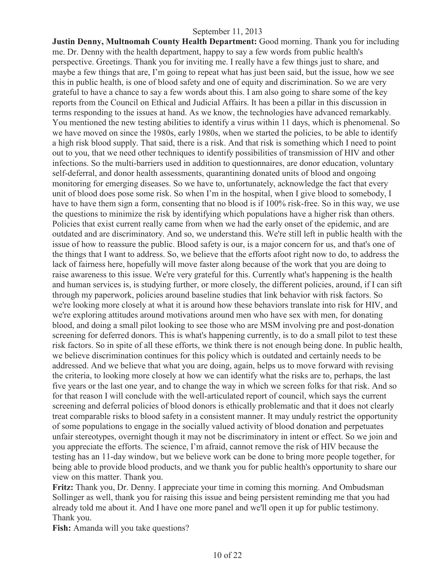**Justin Denny, Multnomah County Health Department:** Good morning. Thank you for including me. Dr. Denny with the health department, happy to say a few words from public health's perspective. Greetings. Thank you for inviting me. I really have a few things just to share, and maybe a few things that are, I'm going to repeat what has just been said, but the issue, how we see this in public health, is one of blood safety and one of equity and discrimination. So we are very grateful to have a chance to say a few words about this. I am also going to share some of the key reports from the Council on Ethical and Judicial Affairs. It has been a pillar in this discussion in terms responding to the issues at hand. As we know, the technologies have advanced remarkably. You mentioned the new testing abilities to identify a virus within 11 days, which is phenomenal. So we have moved on since the 1980s, early 1980s, when we started the policies, to be able to identify a high risk blood supply. That said, there is a risk. And that risk is something which I need to point out to you, that we need other techniques to identify possibilities of transmission of HIV and other infections. So the multi-barriers used in addition to questionnaires, are donor education, voluntary self-deferral, and donor health assessments, quarantining donated units of blood and ongoing monitoring for emerging diseases. So we have to, unfortunately, acknowledge the fact that every unit of blood does pose some risk. So when I'm in the hospital, when I give blood to somebody, I have to have them sign a form, consenting that no blood is if 100% risk-free. So in this way, we use the questions to minimize the risk by identifying which populations have a higher risk than others. Policies that exist current really came from when we had the early onset of the epidemic, and are outdated and are discriminatory. And so, we understand this. We're still left in public health with the issue of how to reassure the public. Blood safety is our, is a major concern for us, and that's one of the things that I want to address. So, we believe that the efforts afoot right now to do, to address the lack of fairness here, hopefully will move faster along because of the work that you are doing to raise awareness to this issue. We're very grateful for this. Currently what's happening is the health and human services is, is studying further, or more closely, the different policies, around, if I can sift through my paperwork, policies around baseline studies that link behavior with risk factors. So we're looking more closely at what it is around how these behaviors translate into risk for HIV, and we're exploring attitudes around motivations around men who have sex with men, for donating blood, and doing a small pilot looking to see those who are MSM involving pre and post-donation screening for deferred donors. This is what's happening currently, is to do a small pilot to test these risk factors. So in spite of all these efforts, we think there is not enough being done. In public health, we believe discrimination continues for this policy which is outdated and certainly needs to be addressed. And we believe that what you are doing, again, helps us to move forward with revising the criteria, to looking more closely at how we can identify what the risks are to, perhaps, the last five years or the last one year, and to change the way in which we screen folks for that risk. And so for that reason I will conclude with the well-articulated report of council, which says the current screening and deferral policies of blood donors is ethically problematic and that it does not clearly treat comparable risks to blood safety in a consistent manner. It may unduly restrict the opportunity of some populations to engage in the socially valued activity of blood donation and perpetuates unfair stereotypes, overnight though it may not be discriminatory in intent or effect. So we join and you appreciate the efforts. The science, I'm afraid, cannot remove the risk of HIV because the testing has an 11-day window, but we believe work can be done to bring more people together, for being able to provide blood products, and we thank you for public health's opportunity to share our view on this matter. Thank you.

**Fritz:** Thank you, Dr. Denny. I appreciate your time in coming this morning. And Ombudsman Sollinger as well, thank you for raising this issue and being persistent reminding me that you had already told me about it. And I have one more panel and we'll open it up for public testimony. Thank you.

Fish: Amanda will you take questions?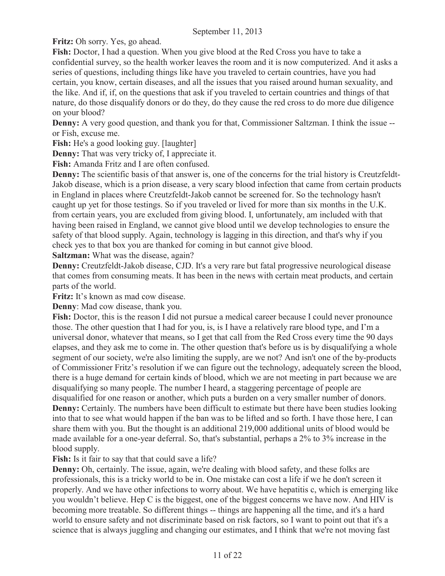**Fritz:** Oh sorry. Yes, go ahead.

**Fish:** Doctor, I had a question. When you give blood at the Red Cross you have to take a confidential survey, so the health worker leaves the room and it is now computerized. And it asks a series of questions, including things like have you traveled to certain countries, have you had certain, you know, certain diseases, and all the issues that you raised around human sexuality, and the like. And if, if, on the questions that ask if you traveled to certain countries and things of that nature, do those disqualify donors or do they, do they cause the red cross to do more due diligence on your blood?

**Denny:** A very good question, and thank you for that, Commissioner Saltzman. I think the issue -or Fish, excuse me.

**Fish:** He's a good looking guy. [laughter]

**Denny:** That was very tricky of, I appreciate it.

**Fish:** Amanda Fritz and I are often confused.

**Denny:** The scientific basis of that answer is, one of the concerns for the trial history is Creutzfeldt-Jakob disease, which is a prion disease, a very scary blood infection that came from certain products in England in places where Creutzfeldt-Jakob cannot be screened for. So the technology hasn't caught up yet for those testings. So if you traveled or lived for more than six months in the U.K. from certain years, you are excluded from giving blood. I, unfortunately, am included with that having been raised in England, we cannot give blood until we develop technologies to ensure the safety of that blood supply. Again, technology is lagging in this direction, and that's why if you check yes to that box you are thanked for coming in but cannot give blood.

**Saltzman:** What was the disease, again?

**Denny:** Creutzfeldt-Jakob disease, CJD. It's a very rare but fatal progressive neurological disease that comes from consuming meats. It has been in the news with certain meat products, and certain parts of the world.

**Fritz:** It's known as mad cow disease.

**Denny**: Mad cow disease, thank you.

**Fish:** Doctor, this is the reason I did not pursue a medical career because I could never pronounce those. The other question that I had for you, is, is I have a relatively rare blood type, and I'm a universal donor, whatever that means, so I get that call from the Red Cross every time the 90 days elapses, and they ask me to come in. The other question that's before us is by disqualifying a whole segment of our society, we're also limiting the supply, are we not? And isn't one of the by-products of Commissioner Fritz's resolution if we can figure out the technology, adequately screen the blood, there is a huge demand for certain kinds of blood, which we are not meeting in part because we are disqualifying so many people. The number I heard, a staggering percentage of people are disqualified for one reason or another, which puts a burden on a very smaller number of donors. **Denny:** Certainly. The numbers have been difficult to estimate but there have been studies looking into that to see what would happen if the ban was to be lifted and so forth. I have those here, I can share them with you. But the thought is an additional 219,000 additional units of blood would be made available for a one-year deferral. So, that's substantial, perhaps a 2% to 3% increase in the blood supply.

Fish: Is it fair to say that that could save a life?

**Denny:** Oh, certainly. The issue, again, we're dealing with blood safety, and these folks are professionals, this is a tricky world to be in. One mistake can cost a life if we he don't screen it properly. And we have other infections to worry about. We have hepatitis c, which is emerging like you wouldn't believe. Hep C is the biggest, one of the biggest concerns we have now. And HIV is becoming more treatable. So different things -- things are happening all the time, and it's a hard world to ensure safety and not discriminate based on risk factors, so I want to point out that it's a science that is always juggling and changing our estimates, and I think that we're not moving fast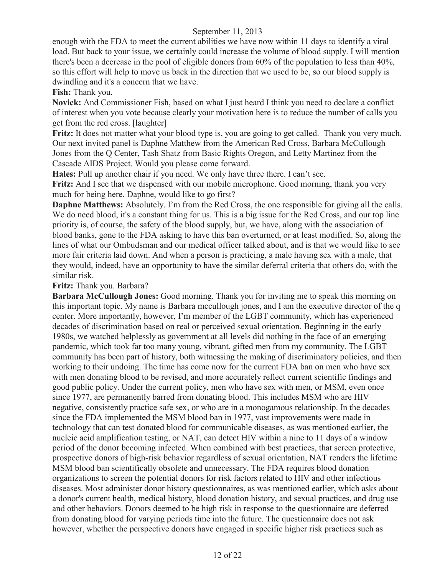enough with the FDA to meet the current abilities we have now within 11 days to identify a viral load. But back to your issue, we certainly could increase the volume of blood supply. I will mention there's been a decrease in the pool of eligible donors from 60% of the population to less than 40%, so this effort will help to move us back in the direction that we used to be, so our blood supply is dwindling and it's a concern that we have.

**Fish:** Thank you.

**Novick:** And Commissioner Fish, based on what I just heard I think you need to declare a conflict of interest when you vote because clearly your motivation here is to reduce the number of calls you get from the red cross. [laughter]

Fritz: It does not matter what your blood type is, you are going to get called. Thank you very much. Our next invited panel is Daphne Matthew from the American Red Cross, Barbara McCullough Jones from the Q Center, Tash Shatz from Basic Rights Oregon, and Letty Martinez from the Cascade AIDS Project. Would you please come forward.

**Hales:** Pull up another chair if you need. We only have three there. I can't see.

**Fritz:** And I see that we dispensed with our mobile microphone. Good morning, thank you very much for being here. Daphne, would like to go first?

**Daphne Matthews:** Absolutely. I'm from the Red Cross, the one responsible for giving all the calls. We do need blood, it's a constant thing for us. This is a big issue for the Red Cross, and our top line priority is, of course, the safety of the blood supply, but, we have, along with the association of blood banks, gone to the FDA asking to have this ban overturned, or at least modified. So, along the lines of what our Ombudsman and our medical officer talked about, and is that we would like to see more fair criteria laid down. And when a person is practicing, a male having sex with a male, that they would, indeed, have an opportunity to have the similar deferral criteria that others do, with the similar risk.

**Fritz:** Thank you. Barbara?

**Barbara McCullough Jones:** Good morning. Thank you for inviting me to speak this morning on this important topic. My name is Barbara mccullough jones, and I am the executive director of the q center. More importantly, however, I'm member of the LGBT community, which has experienced decades of discrimination based on real or perceived sexual orientation. Beginning in the early 1980s, we watched helplessly as government at all levels did nothing in the face of an emerging pandemic, which took far too many young, vibrant, gifted men from my community. The LGBT community has been part of history, both witnessing the making of discriminatory policies, and then working to their undoing. The time has come now for the current FDA ban on men who have sex with men donating blood to be revised, and more accurately reflect current scientific findings and good public policy. Under the current policy, men who have sex with men, or MSM, even once since 1977, are permanently barred from donating blood. This includes MSM who are HIV negative, consistently practice safe sex, or who are in a monogamous relationship. In the decades since the FDA implemented the MSM blood ban in 1977, vast improvements were made in technology that can test donated blood for communicable diseases, as was mentioned earlier, the nucleic acid amplification testing, or NAT, can detect HIV within a nine to 11 days of a window period of the donor becoming infected. When combined with best practices, that screen protective, prospective donors of high-risk behavior regardless of sexual orientation, NAT renders the lifetime MSM blood ban scientifically obsolete and unnecessary. The FDA requires blood donation organizations to screen the potential donors for risk factors related to HIV and other infectious diseases. Most administer donor history questionnaires, as was mentioned earlier, which asks about a donor's current health, medical history, blood donation history, and sexual practices, and drug use and other behaviors. Donors deemed to be high risk in response to the questionnaire are deferred from donating blood for varying periods time into the future. The questionnaire does not ask however, whether the perspective donors have engaged in specific higher risk practices such as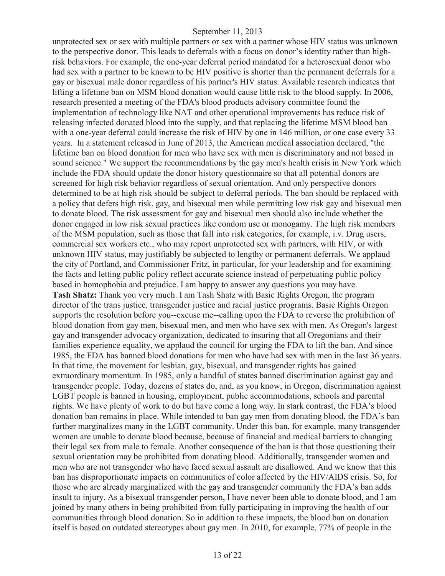unprotected sex or sex with multiple partners or sex with a partner whose HIV status was unknown to the perspective donor. This leads to deferrals with a focus on donor's identity rather than highrisk behaviors. For example, the one-year deferral period mandated for a heterosexual donor who had sex with a partner to be known to be HIV positive is shorter than the permanent deferrals for a gay or bisexual male donor regardless of his partner's HIV status. Available research indicates that lifting a lifetime ban on MSM blood donation would cause little risk to the blood supply. In 2006, research presented a meeting of the FDA's blood products advisory committee found the implementation of technology like NAT and other operational improvements has reduce risk of releasing infected donated blood into the supply, and that replacing the lifetime MSM blood ban with a one-year deferral could increase the risk of HIV by one in 146 million, or one case every 33 years. In a statement released in June of 2013, the American medical association declared, "the lifetime ban on blood donation for men who have sex with men is discriminatory and not based in sound science." We support the recommendations by the gay men's health crisis in New York which include the FDA should update the donor history questionnaire so that all potential donors are screened for high risk behavior regardless of sexual orientation. And only perspective donors determined to be at high risk should be subject to deferral periods. The ban should be replaced with a policy that defers high risk, gay, and bisexual men while permitting low risk gay and bisexual men to donate blood. The risk assessment for gay and bisexual men should also include whether the donor engaged in low risk sexual practices like condom use or monogamy. The high risk members of the MSM population, such as those that fall into risk categories, for example, i.v. Drug users, commercial sex workers etc., who may report unprotected sex with partners, with HIV, or with unknown HIV status, may justifiably be subjected to lengthy or permanent deferrals. We applaud the city of Portland, and Commissioner Fritz, in particular, for your leadership and for examining the facts and letting public policy reflect accurate science instead of perpetuating public policy based in homophobia and prejudice. I am happy to answer any questions you may have. **Tash Shatz:** Thank you very much. I am Tash Shatz with Basic Rights Oregon, the program director of the trans justice, transgender justice and racial justice programs. Basic Rights Oregon supports the resolution before you--excuse me--calling upon the FDA to reverse the prohibition of blood donation from gay men, bisexual men, and men who have sex with men. As Oregon's largest gay and transgender advocacy organization, dedicated to insuring that all Oregonians and their families experience equality, we applaud the council for urging the FDA to lift the ban. And since 1985, the FDA has banned blood donations for men who have had sex with men in the last 36 years. In that time, the movement for lesbian, gay, bisexual, and transgender rights has gained extraordinary momentum. In 1985, only a handful of states banned discrimination against gay and transgender people. Today, dozens of states do, and, as you know, in Oregon, discrimination against LGBT people is banned in housing, employment, public accommodations, schools and parental rights. We have plenty of work to do but have come a long way. In stark contrast, the FDA's blood donation ban remains in place. While intended to ban gay men from donating blood, the FDA's ban further marginalizes many in the LGBT community. Under this ban, for example, many transgender women are unable to donate blood because, because of financial and medical barriers to changing their legal sex from male to female. Another consequence of the ban is that those questioning their sexual orientation may be prohibited from donating blood. Additionally, transgender women and men who are not transgender who have faced sexual assault are disallowed. And we know that this ban has disproportionate impacts on communities of color affected by the HIV/AIDS crisis. So, for those who are already marginalized with the gay and transgender community the FDA's ban adds insult to injury. As a bisexual transgender person, I have never been able to donate blood, and I am joined by many others in being prohibited from fully participating in improving the health of our communities through blood donation. So in addition to these impacts, the blood ban on donation itself is based on outdated stereotypes about gay men. In 2010, for example, 77% of people in the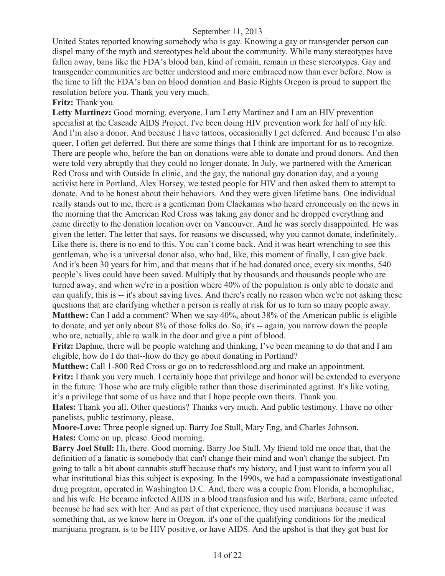United States reported knowing somebody who is gay. Knowing a gay or transgender person can dispel many of the myth and stereotypes held about the community. While many stereotypes have fallen away, bans like the FDA's blood ban, kind of remain, remain in these stereotypes. Gay and transgender communities are better understood and more embraced now than ever before. Now is the time to lift the FDA's ban on blood donation and Basic Rights Oregon is proud to support the resolution before you. Thank you very much.

**Fritz:** Thank you.

**Letty Martinez:** Good morning, everyone, I am Letty Martinez and I am an HIV prevention specialist at the Cascade AIDS Project. I've been doing HIV prevention work for half of my life. And I'm also a donor. And because I have tattoos, occasionally I get deferred. And because I'm also queer, I often get deferred. But there are some things that I think are important for us to recognize. There are people who, before the ban on donations were able to donate and proud donors. And then were told very abruptly that they could no longer donate. In July, we partnered with the American Red Cross and with Outside In clinic, and the gay, the national gay donation day, and a young activist here in Portland, Alex Horsey, we tested people for HIV and then asked them to attempt to donate. And to be honest about their behaviors. And they were given lifetime bans. One individual really stands out to me, there is a gentleman from Clackamas who heard erroneously on the news in the morning that the American Red Cross was taking gay donor and he dropped everything and came directly to the donation location over on Vancouver. And he was sorely disappointed. He was given the letter. The letter that says, for reasons we discussed, why you cannot donate, indefinitely. Like there is, there is no end to this. You can't come back. And it was heart wrenching to see this gentleman, who is a universal donor also, who had, like, this moment of finally, I can give back. And it's been 30 years for him, and that means that if he had donated once, every six months, 540 people's lives could have been saved. Multiply that by thousands and thousands people who are turned away, and when we're in a position where 40% of the population is only able to donate and can qualify, this is -- it's about saving lives. And there's really no reason when we're not asking these questions that are clarifying whether a person is really at risk for us to turn so many people away. **Matthew:** Can I add a comment? When we say 40%, about 38% of the American public is eligible to donate, and yet only about 8% of those folks do. So, it's -- again, you narrow down the people who are, actually, able to walk in the door and give a pint of blood.

**Fritz:** Daphne, there will be people watching and thinking, I've been meaning to do that and I am eligible, how do I do that--how do they go about donating in Portland?

**Matthew:** Call 1-800 Red Cross or go on to redcrossblood.org and make an appointment. **Fritz:** I thank you very much. I certainly hope that privilege and honor will be extended to everyone in the future. Those who are truly eligible rather than those discriminated against. It's like voting, it's a privilege that some of us have and that I hope people own theirs. Thank you.

**Hales:** Thank you all. Other questions? Thanks very much. And public testimony. I have no other panelists, public testimony, please.

**Moore-Love:** Three people signed up. Barry Joe Stull, Mary Eng, and Charles Johnson. **Hales:** Come on up, please. Good morning.

**Barry Joel Stull:** Hi, there. Good morning. Barry Joe Stull. My friend told me once that, that the definition of a fanatic is somebody that can't change their mind and won't change the subject. I'm going to talk a bit about cannabis stuff because that's my history, and I just want to inform you all what institutional bias this subject is exposing. In the 1990s, we had a compassionate investigational drug program, operated in Washington D.C. And, there was a couple from Florida, a hemophiliac, and his wife. He became infected AIDS in a blood transfusion and his wife, Barbara, came infected because he had sex with her. And as part of that experience, they used marijuana because it was something that, as we know here in Oregon, it's one of the qualifying conditions for the medical marijuana program, is to be HIV positive, or have AIDS. And the upshot is that they got bust for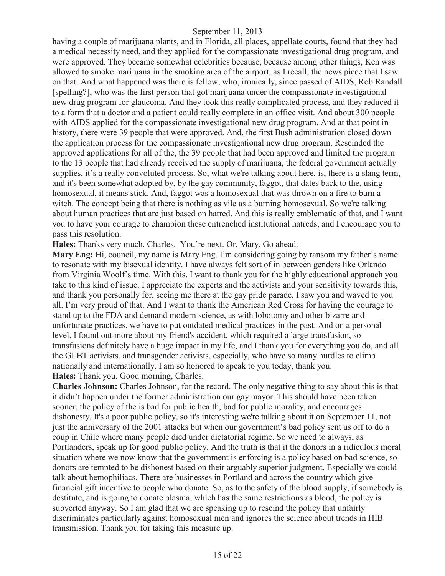having a couple of marijuana plants, and in Florida, all places, appellate courts, found that they had a medical necessity need, and they applied for the compassionate investigational drug program, and were approved. They became somewhat celebrities because, because among other things, Ken was allowed to smoke marijuana in the smoking area of the airport, as I recall, the news piece that I saw on that. And what happened was there is fellow, who, ironically, since passed of AIDS, Rob Randall [spelling?], who was the first person that got marijuana under the compassionate investigational new drug program for glaucoma. And they took this really complicated process, and they reduced it to a form that a doctor and a patient could really complete in an office visit. And about 300 people with AIDS applied for the compassionate investigational new drug program. And at that point in history, there were 39 people that were approved. And, the first Bush administration closed down the application process for the compassionate investigational new drug program. Rescinded the approved applications for all of the, the 39 people that had been approved and limited the program to the 13 people that had already received the supply of marijuana, the federal government actually supplies, it's a really convoluted process. So, what we're talking about here, is, there is a slang term, and it's been somewhat adopted by, by the gay community, faggot, that dates back to the, using homosexual, it means stick. And, faggot was a homosexual that was thrown on a fire to burn a witch. The concept being that there is nothing as vile as a burning homosexual. So we're talking about human practices that are just based on hatred. And this is really emblematic of that, and I want you to have your courage to champion these entrenched institutional hatreds, and I encourage you to pass this resolution.

**Hales:** Thanks very much. Charles. You're next. Or, Mary. Go ahead.

**Mary Eng:** Hi, council, my name is Mary Eng. I'm considering going by ransom my father's name to resonate with my bisexual identity. I have always felt sort of in between genders like Orlando from Virginia Woolf's time. With this, I want to thank you for the highly educational approach you take to this kind of issue. I appreciate the experts and the activists and your sensitivity towards this, and thank you personally for, seeing me there at the gay pride parade, I saw you and waved to you all. I'm very proud of that. And I want to thank the American Red Cross for having the courage to stand up to the FDA and demand modern science, as with lobotomy and other bizarre and unfortunate practices, we have to put outdated medical practices in the past. And on a personal level, I found out more about my friend's accident, which required a large transfusion, so transfusions definitely have a huge impact in my life, and I thank you for everything you do, and all the GLBT activists, and transgender activists, especially, who have so many hurdles to climb nationally and internationally. I am so honored to speak to you today, thank you. **Hales:** Thank you. Good morning, Charles.

**Charles Johnson:** Charles Johnson, for the record. The only negative thing to say about this is that it didn't happen under the former administration our gay mayor. This should have been taken sooner, the policy of the is bad for public health, bad for public morality, and encourages dishonesty. It's a poor public policy, so it's interesting we're talking about it on September 11, not just the anniversary of the 2001 attacks but when our government's bad policy sent us off to do a coup in Chile where many people died under dictatorial regime. So we need to always, as Portlanders, speak up for good public policy. And the truth is that it the donors in a ridiculous moral situation where we now know that the government is enforcing is a policy based on bad science, so donors are tempted to be dishonest based on their arguably superior judgment. Especially we could talk about hemophiliacs. There are businesses in Portland and across the country which give financial gift incentive to people who donate. So, as to the safety of the blood supply, if somebody is destitute, and is going to donate plasma, which has the same restrictions as blood, the policy is subverted anyway. So I am glad that we are speaking up to rescind the policy that unfairly discriminates particularly against homosexual men and ignores the science about trends in HIB transmission. Thank you for taking this measure up.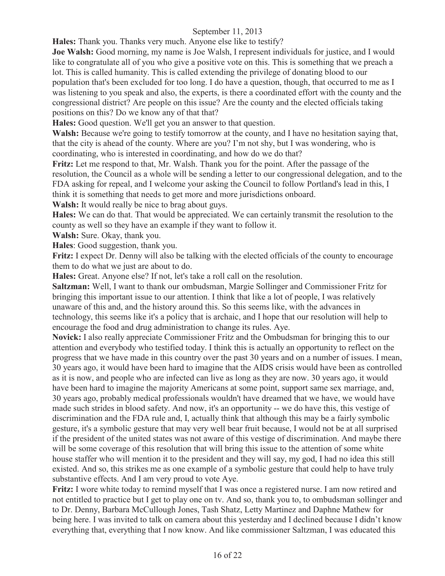**Hales:** Thank you. Thanks very much. Anyone else like to testify?

**Joe Walsh:** Good morning, my name is Joe Walsh, I represent individuals for justice, and I would like to congratulate all of you who give a positive vote on this. This is something that we preach a lot. This is called humanity. This is called extending the privilege of donating blood to our population that's been excluded for too long. I do have a question, though, that occurred to me as I was listening to you speak and also, the experts, is there a coordinated effort with the county and the congressional district? Are people on this issue? Are the county and the elected officials taking positions on this? Do we know any of that that?

**Hales:** Good question. We'll get you an answer to that question.

**Walsh:** Because we're going to testify tomorrow at the county, and I have no hesitation saying that, that the city is ahead of the county. Where are you? I'm not shy, but I was wondering, who is coordinating, who is interested in coordinating, and how do we do that?

**Fritz:** Let me respond to that, Mr. Walsh. Thank you for the point. After the passage of the resolution, the Council as a whole will be sending a letter to our congressional delegation, and to the FDA asking for repeal, and I welcome your asking the Council to follow Portland's lead in this, I think it is something that needs to get more and more jurisdictions onboard.

**Walsh:** It would really be nice to brag about guys.

**Hales:** We can do that. That would be appreciated. We can certainly transmit the resolution to the county as well so they have an example if they want to follow it.

**Walsh:** Sure. Okay, thank you.

**Hales**: Good suggestion, thank you.

**Fritz:** I expect Dr. Denny will also be talking with the elected officials of the county to encourage them to do what we just are about to do.

**Hales:** Great. Anyone else? If not, let's take a roll call on the resolution.

**Saltzman:** Well, I want to thank our ombudsman, Margie Sollinger and Commissioner Fritz for bringing this important issue to our attention. I think that like a lot of people, I was relatively unaware of this and, and the history around this. So this seems like, with the advances in technology, this seems like it's a policy that is archaic, and I hope that our resolution will help to encourage the food and drug administration to change its rules. Aye.

**Novick:** I also really appreciate Commissioner Fritz and the Ombudsman for bringing this to our attention and everybody who testified today. I think this is actually an opportunity to reflect on the progress that we have made in this country over the past 30 years and on a number of issues. I mean, 30 years ago, it would have been hard to imagine that the AIDS crisis would have been as controlled as it is now, and people who are infected can live as long as they are now. 30 years ago, it would have been hard to imagine the majority Americans at some point, support same sex marriage, and, 30 years ago, probably medical professionals wouldn't have dreamed that we have, we would have made such strides in blood safety. And now, it's an opportunity -- we do have this, this vestige of discrimination and the FDA rule and, I, actually think that although this may be a fairly symbolic gesture, it's a symbolic gesture that may very well bear fruit because, I would not be at all surprised if the president of the united states was not aware of this vestige of discrimination. And maybe there will be some coverage of this resolution that will bring this issue to the attention of some white house staffer who will mention it to the president and they will say, my god, I had no idea this still existed. And so, this strikes me as one example of a symbolic gesture that could help to have truly substantive effects. And I am very proud to vote Aye.

**Fritz:** I wore white today to remind myself that I was once a registered nurse. I am now retired and not entitled to practice but I get to play one on tv. And so, thank you to, to ombudsman sollinger and to Dr. Denny, Barbara McCullough Jones, Tash Shatz, Letty Martinez and Daphne Mathew for being here. I was invited to talk on camera about this yesterday and I declined because I didn't know everything that, everything that I now know. And like commissioner Saltzman, I was educated this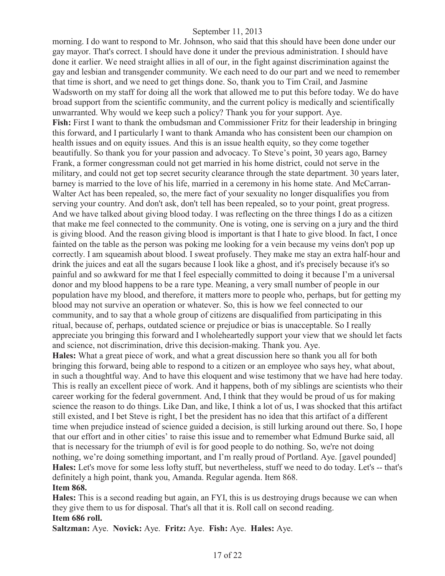morning. I do want to respond to Mr. Johnson, who said that this should have been done under our gay mayor. That's correct. I should have done it under the previous administration. I should have done it earlier. We need straight allies in all of our, in the fight against discrimination against the gay and lesbian and transgender community. We each need to do our part and we need to remember that time is short, and we need to get things done. So, thank you to Tim Crail, and Jasmine Wadsworth on my staff for doing all the work that allowed me to put this before today. We do have broad support from the scientific community, and the current policy is medically and scientifically unwarranted. Why would we keep such a policy? Thank you for your support. Aye. Fish: First I want to thank the ombudsman and Commissioner Fritz for their leadership in bringing this forward, and I particularly I want to thank Amanda who has consistent been our champion on health issues and on equity issues. And this is an issue health equity, so they come together beautifully. So thank you for your passion and advocacy. To Steve's point, 30 years ago, Barney Frank, a former congressman could not get married in his home district, could not serve in the military, and could not get top secret security clearance through the state department. 30 years later, barney is married to the love of his life, married in a ceremony in his home state. And McCarran-Walter Act has been repealed, so, the mere fact of your sexuality no longer disqualifies you from serving your country. And don't ask, don't tell has been repealed, so to your point, great progress. And we have talked about giving blood today. I was reflecting on the three things I do as a citizen that make me feel connected to the community. One is voting, one is serving on a jury and the third is giving blood. And the reason giving blood is important is that I hate to give blood. In fact, I once fainted on the table as the person was poking me looking for a vein because my veins don't pop up correctly. I am squeamish about blood. I sweat profusely. They make me stay an extra half-hour and drink the juices and eat all the sugars because I look like a ghost, and it's precisely because it's so painful and so awkward for me that I feel especially committed to doing it because I'm a universal donor and my blood happens to be a rare type. Meaning, a very small number of people in our population have my blood, and therefore, it matters more to people who, perhaps, but for getting my blood may not survive an operation or whatever. So, this is how we feel connected to our community, and to say that a whole group of citizens are disqualified from participating in this ritual, because of, perhaps, outdated science or prejudice or bias is unacceptable. So I really appreciate you bringing this forward and I wholeheartedly support your view that we should let facts and science, not discrimination, drive this decision-making. Thank you. Aye.

**Hales:** What a great piece of work, and what a great discussion here so thank you all for both bringing this forward, being able to respond to a citizen or an employee who says hey, what about, in such a thoughtful way. And to have this eloquent and wise testimony that we have had here today. This is really an excellent piece of work. And it happens, both of my siblings are scientists who their career working for the federal government. And, I think that they would be proud of us for making science the reason to do things. Like Dan, and like, I think a lot of us, I was shocked that this artifact still existed, and I bet Steve is right, I bet the president has no idea that this artifact of a different time when prejudice instead of science guided a decision, is still lurking around out there. So, I hope that our effort and in other cities' to raise this issue and to remember what Edmund Burke said, all that is necessary for the triumph of evil is for good people to do nothing. So, we're not doing nothing, we're doing something important, and I'm really proud of Portland. Aye. [gavel pounded] **Hales:** Let's move for some less lofty stuff, but nevertheless, stuff we need to do today. Let's -- that's definitely a high point, thank you, Amanda. Regular agenda. Item 868.

#### **Item 868.**

**Hales:** This is a second reading but again, an FYI, this is us destroying drugs because we can when they give them to us for disposal. That's all that it is. Roll call on second reading. **Item 686 roll.**

**Saltzman:** Aye. **Novick:** Aye. **Fritz:** Aye. **Fish:** Aye. **Hales:** Aye.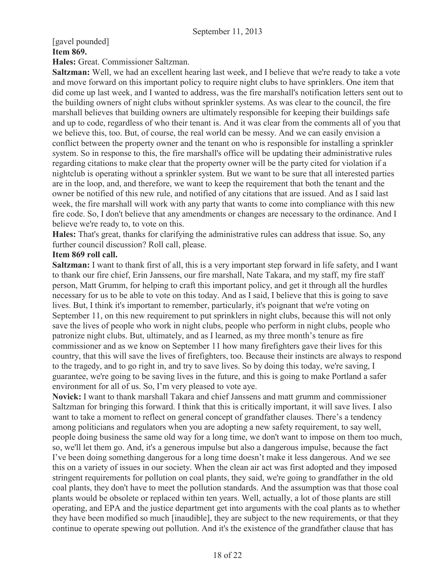# [gavel pounded] **Item 869.**

**Hales:** Great. Commissioner Saltzman.

**Saltzman:** Well, we had an excellent hearing last week, and I believe that we're ready to take a vote and move forward on this important policy to require night clubs to have sprinklers. One item that did come up last week, and I wanted to address, was the fire marshall's notification letters sent out to the building owners of night clubs without sprinkler systems. As was clear to the council, the fire marshall believes that building owners are ultimately responsible for keeping their buildings safe and up to code, regardless of who their tenant is. And it was clear from the comments all of you that we believe this, too. But, of course, the real world can be messy. And we can easily envision a conflict between the property owner and the tenant on who is responsible for installing a sprinkler system. So in response to this, the fire marshall's office will be updating their administrative rules regarding citations to make clear that the property owner will be the party cited for violation if a nightclub is operating without a sprinkler system. But we want to be sure that all interested parties are in the loop, and, and therefore, we want to keep the requirement that both the tenant and the owner be notified of this new rule, and notified of any citations that are issued. And as I said last week, the fire marshall will work with any party that wants to come into compliance with this new fire code. So, I don't believe that any amendments or changes are necessary to the ordinance. And I believe we're ready to, to vote on this.

**Hales:** That's great, thanks for clarifying the administrative rules can address that issue. So, any further council discussion? Roll call, please.

#### **Item 869 roll call.**

**Saltzman:** I want to thank first of all, this is a very important step forward in life safety, and I want to thank our fire chief, Erin Janssens, our fire marshall, Nate Takara, and my staff, my fire staff person, Matt Grumm, for helping to craft this important policy, and get it through all the hurdles necessary for us to be able to vote on this today. And as I said, I believe that this is going to save lives. But, I think it's important to remember, particularly, it's poignant that we're voting on September 11, on this new requirement to put sprinklers in night clubs, because this will not only save the lives of people who work in night clubs, people who perform in night clubs, people who patronize night clubs. But, ultimately, and as I learned, as my three month's tenure as fire commissioner and as we know on September 11 how many firefighters gave their lives for this country, that this will save the lives of firefighters, too. Because their instincts are always to respond to the tragedy, and to go right in, and try to save lives. So by doing this today, we're saving, I guarantee, we're going to be saving lives in the future, and this is going to make Portland a safer environment for all of us. So, I'm very pleased to vote aye.

**Novick:** I want to thank marshall Takara and chief Janssens and matt grumm and commissioner Saltzman for bringing this forward. I think that this is critically important, it will save lives. I also want to take a moment to reflect on general concept of grandfather clauses. There's a tendency among politicians and regulators when you are adopting a new safety requirement, to say well, people doing business the same old way for a long time, we don't want to impose on them too much, so, we'll let them go. And, it's a generous impulse but also a dangerous impulse, because the fact I've been doing something dangerous for a long time doesn't make it less dangerous. And we see this on a variety of issues in our society. When the clean air act was first adopted and they imposed stringent requirements for pollution on coal plants, they said, we're going to grandfather in the old coal plants, they don't have to meet the pollution standards. And the assumption was that those coal plants would be obsolete or replaced within ten years. Well, actually, a lot of those plants are still operating, and EPA and the justice department get into arguments with the coal plants as to whether they have been modified so much [inaudible], they are subject to the new requirements, or that they continue to operate spewing out pollution. And it's the existence of the grandfather clause that has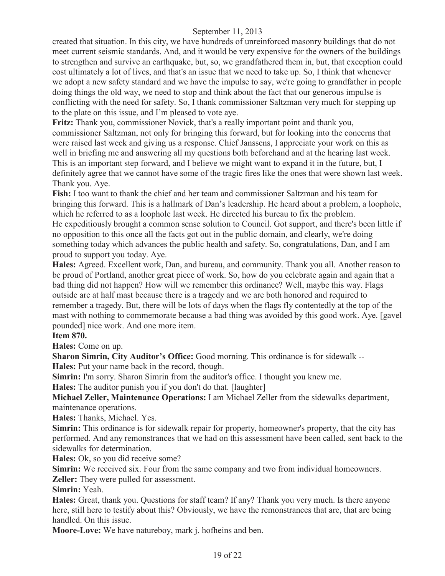created that situation. In this city, we have hundreds of unreinforced masonry buildings that do not meet current seismic standards. And, and it would be very expensive for the owners of the buildings to strengthen and survive an earthquake, but, so, we grandfathered them in, but, that exception could cost ultimately a lot of lives, and that's an issue that we need to take up. So, I think that whenever we adopt a new safety standard and we have the impulse to say, we're going to grandfather in people doing things the old way, we need to stop and think about the fact that our generous impulse is conflicting with the need for safety. So, I thank commissioner Saltzman very much for stepping up to the plate on this issue, and I'm pleased to vote aye.

**Fritz:** Thank you, commissioner Novick, that's a really important point and thank you, commissioner Saltzman, not only for bringing this forward, but for looking into the concerns that were raised last week and giving us a response. Chief Janssens, I appreciate your work on this as well in briefing me and answering all my questions both beforehand and at the hearing last week. This is an important step forward, and I believe we might want to expand it in the future, but, I definitely agree that we cannot have some of the tragic fires like the ones that were shown last week. Thank you. Aye.

**Fish:** I too want to thank the chief and her team and commissioner Saltzman and his team for bringing this forward. This is a hallmark of Dan's leadership. He heard about a problem, a loophole, which he referred to as a loophole last week. He directed his bureau to fix the problem. He expeditiously brought a common sense solution to Council. Got support, and there's been little if no opposition to this once all the facts got out in the public domain, and clearly, we're doing something today which advances the public health and safety. So, congratulations, Dan, and I am proud to support you today. Aye.

**Hales:** Agreed. Excellent work, Dan, and bureau, and community. Thank you all. Another reason to be proud of Portland, another great piece of work. So, how do you celebrate again and again that a bad thing did not happen? How will we remember this ordinance? Well, maybe this way. Flags outside are at half mast because there is a tragedy and we are both honored and required to remember a tragedy. But, there will be lots of days when the flags fly contentedly at the top of the mast with nothing to commemorate because a bad thing was avoided by this good work. Aye. [gavel pounded] nice work. And one more item.

# **Item 870.**

**Hales:** Come on up.

**Sharon Simrin, City Auditor's Office:** Good morning. This ordinance is for sidewalk -- **Hales:** Put your name back in the record, though.

**Simrin:** I'm sorry. Sharon Simrin from the auditor's office. I thought you knew me.

**Hales:** The auditor punish you if you don't do that. [laughter]

**Michael Zeller, Maintenance Operations:** I am Michael Zeller from the sidewalks department, maintenance operations.

**Hales:** Thanks, Michael. Yes.

**Simrin:** This ordinance is for sidewalk repair for property, homeowner's property, that the city has performed. And any remonstrances that we had on this assessment have been called, sent back to the sidewalks for determination.

**Hales:** Ok, so you did receive some?

**Simrin:** We received six. Four from the same company and two from individual homeowners.

**Zeller:** They were pulled for assessment.

**Simrin:** Yeah.

**Hales:** Great, thank you. Questions for staff team? If any? Thank you very much. Is there anyone here, still here to testify about this? Obviously, we have the remonstrances that are, that are being handled. On this issue.

**Moore-Love:** We have natureboy, mark j. hofheins and ben.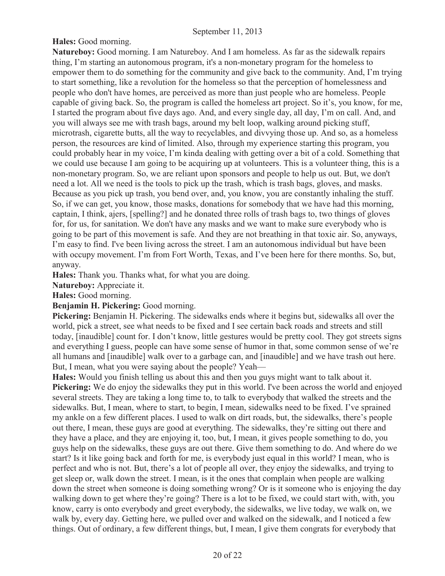**Hales:** Good morning.

**Natureboy:** Good morning. I am Natureboy. And I am homeless. As far as the sidewalk repairs thing, I'm starting an autonomous program, it's a non-monetary program for the homeless to empower them to do something for the community and give back to the community. And, I'm trying to start something, like a revolution for the homeless so that the perception of homelessness and people who don't have homes, are perceived as more than just people who are homeless. People capable of giving back. So, the program is called the homeless art project. So it's, you know, for me, I started the program about five days ago. And, and every single day, all day, I'm on call. And, and you will always see me with trash bags, around my belt loop, walking around picking stuff, microtrash, cigarette butts, all the way to recyclables, and divvying those up. And so, as a homeless person, the resources are kind of limited. Also, through my experience starting this program, you could probably hear in my voice, I'm kinda dealing with getting over a bit of a cold. Something that we could use because I am going to be acquiring up at volunteers. This is a volunteer thing, this is a non-monetary program. So, we are reliant upon sponsors and people to help us out. But, we don't need a lot. All we need is the tools to pick up the trash, which is trash bags, gloves, and masks. Because as you pick up trash, you bend over, and, you know, you are constantly inhaling the stuff. So, if we can get, you know, those masks, donations for somebody that we have had this morning, captain, I think, ajers, [spelling?] and he donated three rolls of trash bags to, two things of gloves for, for us, for sanitation. We don't have any masks and we want to make sure everybody who is going to be part of this movement is safe. And they are not breathing in that toxic air. So, anyways, I'm easy to find. I've been living across the street. I am an autonomous individual but have been with occupy movement. I'm from Fort Worth, Texas, and I've been here for there months. So, but, anyway.

**Hales:** Thank you. Thanks what, for what you are doing.

**Natureboy:** Appreciate it.

**Hales:** Good morning.

**Benjamin H. Pickering:** Good morning.

**Pickering:** Benjamin H. Pickering. The sidewalks ends where it begins but, sidewalks all over the world, pick a street, see what needs to be fixed and I see certain back roads and streets and still today, [inaudible] count for. I don't know, little gestures would be pretty cool. They got streets signs and everything I guess, people can have some sense of humor in that, some common sense of we're all humans and [inaudible] walk over to a garbage can, and [inaudible] and we have trash out here. But, I mean, what you were saying about the people? Yeah—

**Hales:** Would you finish telling us about this and then you guys might want to talk about it. **Pickering:** We do enjoy the sidewalks they put in this world. I've been across the world and enjoyed several streets. They are taking a long time to, to talk to everybody that walked the streets and the sidewalks. But, I mean, where to start, to begin, I mean, sidewalks need to be fixed. I've sprained my ankle on a few different places. I used to walk on dirt roads, but, the sidewalks, there's people out there, I mean, these guys are good at everything. The sidewalks, they're sitting out there and they have a place, and they are enjoying it, too, but, I mean, it gives people something to do, you guys help on the sidewalks, these guys are out there. Give them something to do. And where do we start? Is it like going back and forth for me, is everybody just equal in this world? I mean, who is perfect and who is not. But, there's a lot of people all over, they enjoy the sidewalks, and trying to get sleep or, walk down the street. I mean, is it the ones that complain when people are walking down the street when someone is doing something wrong? Or is it someone who is enjoying the day walking down to get where they're going? There is a lot to be fixed, we could start with, with, you know, carry is onto everybody and greet everybody, the sidewalks, we live today, we walk on, we walk by, every day. Getting here, we pulled over and walked on the sidewalk, and I noticed a few things. Out of ordinary, a few different things, but, I mean, I give them congrats for everybody that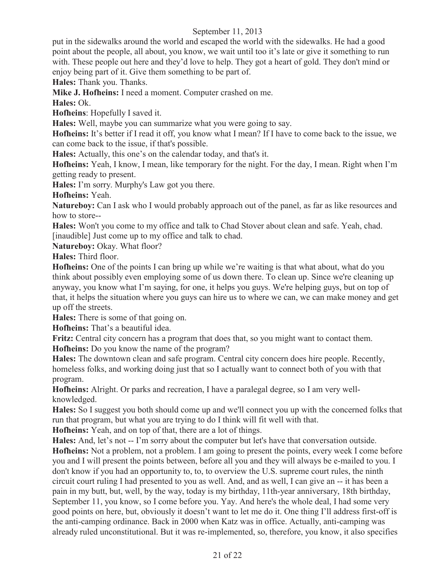put in the sidewalks around the world and escaped the world with the sidewalks. He had a good point about the people, all about, you know, we wait until too it's late or give it something to run with. These people out here and they'd love to help. They got a heart of gold. They don't mind or enjoy being part of it. Give them something to be part of.

**Hales:** Thank you. Thanks.

**Mike J. Hofheins:** I need a moment. Computer crashed on me.

**Hales:** Ok.

**Hofheins**: Hopefully I saved it.

**Hales:** Well, maybe you can summarize what you were going to say.

**Hofheins:** It's better if I read it off, you know what I mean? If I have to come back to the issue, we can come back to the issue, if that's possible.

**Hales:** Actually, this one's on the calendar today, and that's it.

**Hofheins:** Yeah, I know, I mean, like temporary for the night. For the day, I mean. Right when I'm getting ready to present.

**Hales:** I'm sorry. Murphy's Law got you there.

**Hofheins:** Yeah.

**Natureboy:** Can I ask who I would probably approach out of the panel, as far as like resources and how to store--

**Hales:** Won't you come to my office and talk to Chad Stover about clean and safe. Yeah, chad. [inaudible] Just come up to my office and talk to chad.

Natureboy: Okay. What floor?

**Hales:** Third floor.

**Hofheins:** One of the points I can bring up while we're waiting is that what about, what do you think about possibly even employing some of us down there. To clean up. Since we're cleaning up anyway, you know what I'm saying, for one, it helps you guys. We're helping guys, but on top of that, it helps the situation where you guys can hire us to where we can, we can make money and get up off the streets.

**Hales:** There is some of that going on.

**Hofheins:** That's a beautiful idea.

**Fritz:** Central city concern has a program that does that, so you might want to contact them. **Hofheins:** Do you know the name of the program?

**Hales:** The downtown clean and safe program. Central city concern does hire people. Recently, homeless folks, and working doing just that so I actually want to connect both of you with that program.

**Hofheins:** Alright. Or parks and recreation, I have a paralegal degree, so I am very wellknowledged.

**Hales:** So I suggest you both should come up and we'll connect you up with the concerned folks that run that program, but what you are trying to do I think will fit well with that.

**Hofheins:** Yeah, and on top of that, there are a lot of things.

**Hales:** And, let's not -- I'm sorry about the computer but let's have that conversation outside.

**Hofheins:** Not a problem, not a problem. I am going to present the points, every week I come before you and I will present the points between, before all you and they will always be e-mailed to you. I don't know if you had an opportunity to, to, to overview the U.S. supreme court rules, the ninth circuit court ruling I had presented to you as well. And, and as well, I can give an -- it has been a pain in my butt, but, well, by the way, today is my birthday, 11th-year anniversary, 18th birthday, September 11, you know, so I come before you. Yay. And here's the whole deal, I had some very good points on here, but, obviously it doesn't want to let me do it. One thing I'll address first-off is the anti-camping ordinance. Back in 2000 when Katz was in office. Actually, anti-camping was already ruled unconstitutional. But it was re-implemented, so, therefore, you know, it also specifies